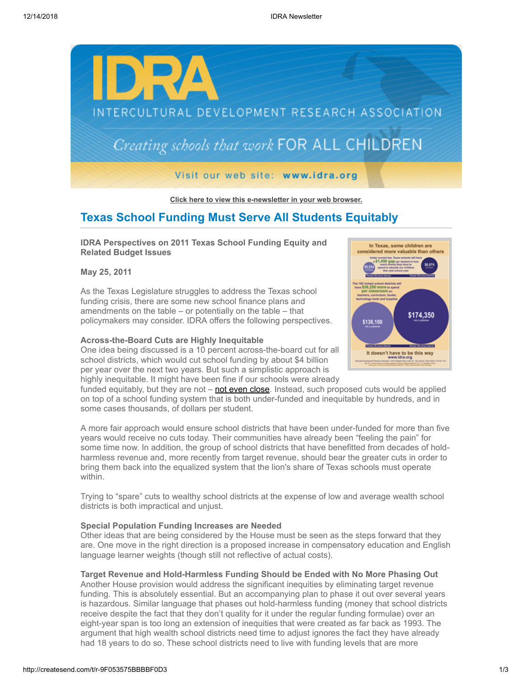

**[Click here to view this e-newsletter in your web browser.](http://newsletter.impulsedevelopment.com/t/r/e/jdplid/l/)**

# **Texas School Funding Must Serve All Students Equitably**

**IDRA Perspectives on 2011 Texas School Funding Equity and Related Budget Issues** 

**May 25, 2011**

As the Texas Legislature struggles to address the Texas school funding crisis, there are some new school finance plans and amendments on the table – or potentially on the table – that policymakers may consider. IDRA offers the following perspectives.

### **Across-the-Board Cuts are Highly Inequitable**

One idea being discussed is a 10 percent across-the-board cut for all school districts, which would cut school funding by about \$4 billion per year over the next two years. But such a simplistic approach is highly inequitable. It might have been fine if our schools were already



funded equitably, but they are not  $-\text{not even close}$ . Instead, such proposed cuts would be applied on top of a school funding system that is both under-funded and inequitable by hundreds, and in some cases thousands, of dollars per student.

A more fair approach would ensure school districts that have been under-funded for more than five years would receive no cuts today. Their communities have already been "feeling the pain" for some time now. In addition, the group of school districts that have benefitted from decades of holdharmless revenue and, more recently from target revenue, should bear the greater cuts in order to bring them back into the equalized system that the lion's share of Texas schools must operate within.

Trying to "spare" cuts to wealthy school districts at the expense of low and average wealth school districts is both impractical and unjust.

## **Special Population Funding Increases are Needed**

Other ideas that are being considered by the House must be seen as the steps forward that they are. One move in the right direction is a proposed increase in compensatory education and English language learner weights (though still not reflective of actual costs).

### **Target Revenue and Hold-Harmless Funding Should be Ended with No More Phasing Out**

Another House provision would address the significant inequities by eliminating target revenue funding. This is absolutely essential. But an accompanying plan to phase it out over several years is hazardous. Similar language that phases out hold-harmless funding (money that school districts receive despite the fact that they don't quality for it under the regular funding formulae) over an eight-year span is too long an extension of inequities that were created as far back as 1993. The argument that high wealth school districts need time to adjust ignores the fact they have already had 18 years to do so. These school districts need to live with funding levels that are more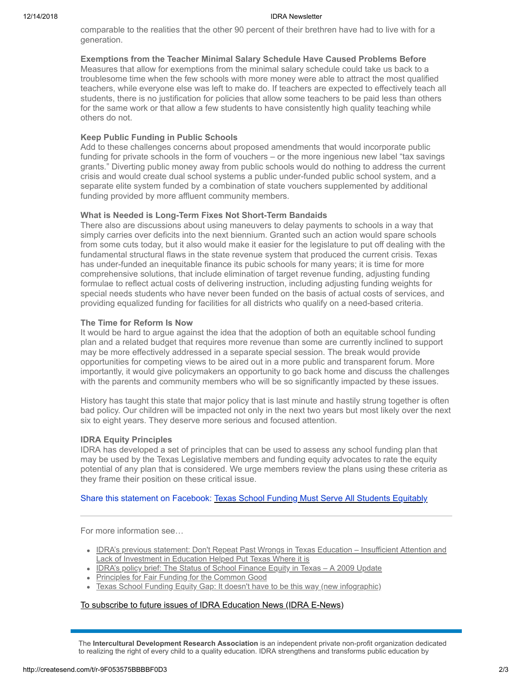#### 12/14/2018 IDRA Newsletter

comparable to the realities that the other 90 percent of their brethren have had to live with for a generation.

**Exemptions from the Teacher Minimal Salary Schedule Have Caused Problems Before**  Measures that allow for exemptions from the minimal salary schedule could take us back to a troublesome time when the few schools with more money were able to attract the most qualified teachers, while everyone else was left to make do. If teachers are expected to effectively teach all students, there is no justification for policies that allow some teachers to be paid less than others for the same work or that allow a few students to have consistently high quality teaching while others do not.

# **Keep Public Funding in Public Schools**

Add to these challenges concerns about proposed amendments that would incorporate public funding for private schools in the form of vouchers – or the more ingenious new label "tax savings grants." Diverting public money away from public schools would do nothing to address the current crisis and would create dual school systems a public under-funded public school system, and a separate elite system funded by a combination of state vouchers supplemented by additional funding provided by more affluent community members.

### **What is Needed is Long-Term Fixes Not Short-Term Bandaids**

There also are discussions about using maneuvers to delay payments to schools in a way that simply carries over deficits into the next biennium. Granted such an action would spare schools from some cuts today, but it also would make it easier for the legislature to put off dealing with the fundamental structural flaws in the state revenue system that produced the current crisis. Texas has under-funded an inequitable finance its pubic schools for many years; it is time for more comprehensive solutions, that include elimination of target revenue funding, adjusting funding formulae to reflect actual costs of delivering instruction, including adjusting funding weights for special needs students who have never been funded on the basis of actual costs of services, and providing equalized funding for facilities for all districts who qualify on a need-based criteria.

## **The Time for Reform Is Now**

It would be hard to argue against the idea that the adoption of both an equitable school funding plan and a related budget that requires more revenue than some are currently inclined to support may be more effectively addressed in a separate special session. The break would provide opportunities for competing views to be aired out in a more public and transparent forum. More importantly, it would give policymakers an opportunity to go back home and discuss the challenges with the parents and community members who will be so significantly impacted by these issues.

History has taught this state that major policy that is last minute and hastily strung together is often bad policy. Our children will be impacted not only in the next two years but most likely over the next six to eight years. They deserve more serious and focused attention.

### **IDRA Equity Principles**

IDRA has developed a set of principles that can be used to assess any school funding plan that may be used by the Texas Legislative members and funding equity advocates to rate the equity potential of any plan that is considered. We urge members review the plans using these criteria as they frame their position on these critical issue.

# Share this statement on Facebook: [Texas School Funding Must Serve All Students Equitably](http://createsend.com/t/r/fb/jdplid/l/n/?act=wv)

For more information see…

- [IDRA's previous statement: Don't Repeat Past Wrongs in Texas Education Insufficient Attention and](http://newsletter.impulsedevelopment.com/t/r/l/jdplid/l/j/) Lack of Investment in Education Helped Put Texas Where it is
- IDRA's policy brief: The Status of School Finance Equity in Texas A 2009 Update
- [Principles for Fair Funding for the Common Good](http://newsletter.impulsedevelopment.com/t/r/l/jdplid/l/h/)
- [Texas School Funding Equity Gap: It doesn't have to be this way \(new infographic\)](http://newsletter.impulsedevelopment.com/t/r/l/jdplid/l/k/)

# [To subscribe to future issues of IDRA Education News \(IDRA E-News\)](http://newsletter.impulsedevelopment.com/t/r/l/jdplid/l/u/)

The **Intercultural Development Research Association** is an independent private non-profit organization dedicated to realizing the right of every child to a quality education. IDRA strengthens and transforms public education by